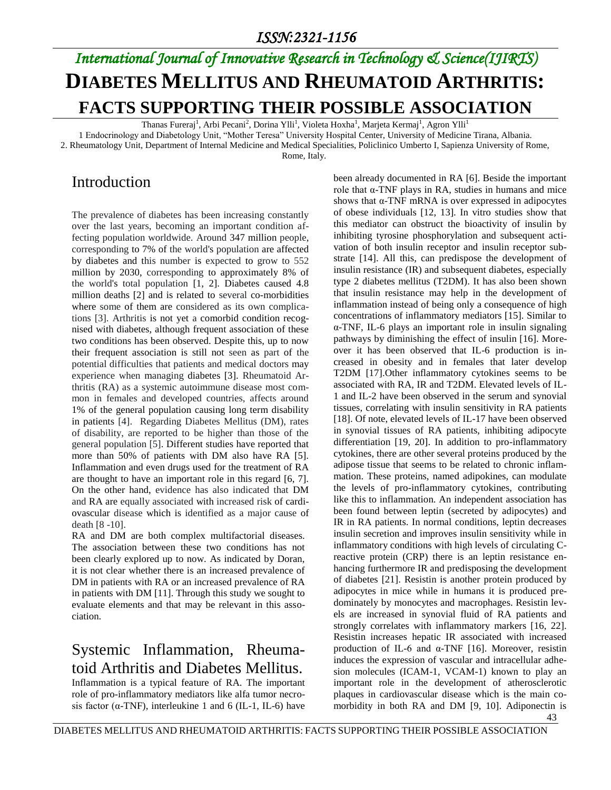# *International Journal of Innovative Research in Technology & Science(IJIRTS)* **DIABETES MELLITUS AND RHEUMATOID ARTHRITIS: FACTS SUPPORTING THEIR POSSIBLE ASSOCIATION**

Thanas Fureraj<sup>1</sup>, Arbi Pecani<sup>2</sup>, Dorina Ylli<sup>1</sup>, Violeta Hoxha<sup>1</sup>, Marjeta Kermaj<sup>1</sup>, Agron Ylli<sup>1</sup>

1 Endocrinology and Diabetology Unit, "Mother Teresa" University Hospital Center, University of Medicine Tirana, Albania.

2. Rheumatology Unit, Department of Internal Medicine and Medical Specialities, Policlinico Umberto I, Sapienza University of Rome,

Rome, Italy.

### Introduction

The prevalence of diabetes has been increasing constantly over the last years, becoming an important condition affecting population worldwide. Around 347 million people, corresponding to 7% of the world's population are affected by diabetes and this number is expected to grow to 552 million by 2030, corresponding to approximately 8% of the world's total population [1, 2]. Diabetes caused 4.8 million deaths [2] and is related to several co-morbidities where some of them are considered as its own complications [3]. Arthritis is not yet a comorbid condition recognised with diabetes, although frequent association of these two conditions has been observed. Despite this, up to now their frequent association is still not seen as part of the potential difficulties that patients and medical doctors may experience when managing diabetes [3]. Rheumatoid Arthritis (RA) as a systemic autoimmune disease most common in females and developed countries, affects around 1% of the general population causing long term disability in patients [4]. Regarding Diabetes Mellitus (DM), rates of disability, are reported to be higher than those of the general population [5]. Different studies have reported that more than 50% of patients with DM also have RA [5]. Inflammation and even drugs used for the treatment of RA are thought to have an important role in this regard [6, 7]. On the other hand, evidence has also indicated that DM and RA are equally associated with increased risk of cardiovascular disease which is identified as a major cause of death [8 -10].

RA and DM are both complex multifactorial diseases. The association between these two conditions has not been clearly explored up to now. As indicated by Doran, it is not clear whether there is an increased prevalence of DM in patients with RA or an increased prevalence of RA in patients with DM [11]. Through this study we sought to evaluate elements and that may be relevant in this association.

### Systemic Inflammation, Rheumatoid Arthritis and Diabetes Mellitus.

Inflammation is a typical feature of RA. The important role of pro-inflammatory mediators like alfa tumor necrosis factor ( $\alpha$ -TNF), interleukine 1 and 6 (IL-1, IL-6) have been already documented in RA [6]. Beside the important role that  $α$ -TNF plays in RA, studies in humans and mice shows that  $\alpha$ -TNF mRNA is over expressed in adipocytes of obese individuals [12, 13]. In vitro studies show that this mediator can obstruct the bioactivity of insulin by inhibiting tyrosine phosphorylation and subsequent activation of both insulin receptor and insulin receptor substrate [14]. All this, can predispose the development of insulin resistance (IR) and subsequent diabetes, especially type 2 diabetes mellitus (T2DM). It has also been shown that insulin resistance may help in the development of inflammation instead of being only a consequence of high concentrations of inflammatory mediators [15]. Similar to α-TNF, IL-6 plays an important role in insulin signaling pathways by diminishing the effect of insulin [16]. Moreover it has been observed that IL-6 production is increased in obesity and in females that later develop T2DM [17].Other inflammatory cytokines seems to be associated with RA, IR and T2DM. Elevated levels of IL-1 and IL-2 have been observed in the serum and synovial tissues, correlating with insulin sensitivity in RA patients [18]. Of note, elevated levels of IL-17 have been observed in synovial tissues of RA patients, inhibiting adipocyte differentiation [19, 20]. In addition to pro-inflammatory cytokines, there are other several proteins produced by the adipose tissue that seems to be related to chronic inflammation. These proteins, named adipokines, can modulate the levels of pro-inflammatory cytokines, contributing like this to inflammation. An independent association has been found between leptin (secreted by adipocytes) and IR in RA patients. In normal conditions, leptin decreases insulin secretion and improves insulin sensitivity while in inflammatory conditions with high levels of circulating Creactive protein (CRP) there is an leptin resistance enhancing furthermore IR and predisposing the development of diabetes [21]. Resistin is another protein produced by adipocytes in mice while in humans it is produced predominately by monocytes and macrophages. Resistin levels are increased in synovial fluid of RA patients and strongly correlates with inflammatory markers [16, 22]. Resistin increases hepatic IR associated with increased production of IL-6 and  $\alpha$ -TNF [16]. Moreover, resistin induces the expression of vascular and intracellular adhesion molecules (ICAM-1, VCAM-1) known to play an important role in the development of atherosclerotic plaques in cardiovascular disease which is the main comorbidity in both RA and DM [9, 10]. Adiponectin is

43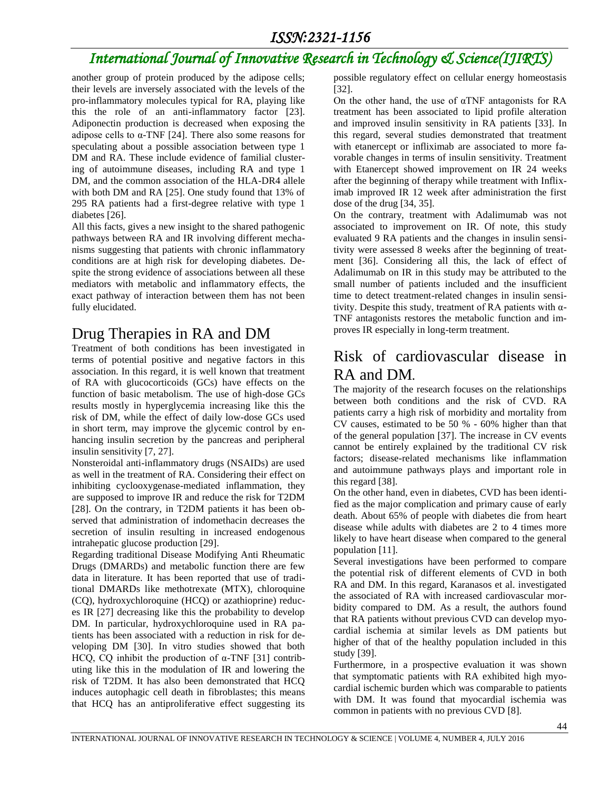#### *ISSN:2321-1156*

## *International Journal of Innovative Research in Technology & Science(IJIRTS)*

another group of protein produced by the adipose cells; their levels are inversely associated with the levels of the pro-inflammatory molecules typical for RA, playing like this the role of an anti-inflammatory factor [23]. Adiponectin production is decreased when exposing the adipose cells to  $\alpha$ -TNF [24]. There also some reasons for speculating about a possible association between type 1 DM and RA. These include evidence of familial clustering of autoimmune diseases, including RA and type 1 DM, and the common association of the HLA-DR4 allele with both DM and RA [25]. One study found that 13% of 295 RA patients had a first-degree relative with type 1 diabetes [26].

All this facts, gives a new insight to the shared pathogenic pathways between RA and IR involving different mechanisms suggesting that patients with chronic inflammatory conditions are at high risk for developing diabetes. Despite the strong evidence of associations between all these mediators with metabolic and inflammatory effects, the exact pathway of interaction between them has not been fully elucidated.

#### Drug Therapies in RA and DM

Treatment of both conditions has been investigated in terms of potential positive and negative factors in this association. In this regard, it is well known that treatment of RA with glucocorticoids (GCs) have effects on the function of basic metabolism. The use of high-dose GCs results mostly in hyperglycemia increasing like this the risk of DM, while the effect of daily low-dose GCs used in short term, may improve the glycemic control by enhancing insulin secretion by the pancreas and peripheral insulin sensitivity [7, 27].

Nonsteroidal anti-inflammatory drugs (NSAIDs) are used as well in the treatment of RA. Considering their effect on inhibiting cyclooxygenase-mediated inflammation, they are supposed to improve IR and reduce the risk for T2DM [28]. On the contrary, in T2DM patients it has been observed that administration of indomethacin decreases the secretion of insulin resulting in increased endogenous intrahepatic glucose production [29].

Regarding traditional Disease Modifying Anti Rheumatic Drugs (DMARDs) and metabolic function there are few data in literature. It has been reported that use of traditional DMARDs like methotrexate (MTX), chloroquine (CQ), hydroxychloroquine (HCQ) or azathioprine) reduces IR [27] decreasing like this the probability to develop DM. In particular, hydroxychloroquine used in RA patients has been associated with a reduction in risk for developing DM [30]. In vitro studies showed that both HCQ, CQ inhibit the production of  $\alpha$ -TNF [31] contributing like this in the modulation of IR and lowering the risk of T2DM. It has also been demonstrated that HCQ induces autophagic cell death in fibroblastes; this means that HCQ has an antiproliferative effect suggesting its

possible regulatory effect on cellular energy homeostasis [32].

On the other hand, the use of  $\alpha$ TNF antagonists for RA treatment has been associated to lipid profile alteration and improved insulin sensitivity in RA patients [33]. In this regard, several studies demonstrated that treatment with etanercept or infliximab are associated to more favorable changes in terms of insulin sensitivity. Treatment with Etanercept showed improvement on IR 24 weeks after the beginning of therapy while treatment with Infliximab improved IR 12 week after administration the first dose of the drug [34, 35].

On the contrary, treatment with Adalimumab was not associated to improvement on IR. Of note, this study evaluated 9 RA patients and the changes in insulin sensitivity were assessed 8 weeks after the beginning of treatment [36]. Considering all this, the lack of effect of Adalimumab on IR in this study may be attributed to the small number of patients included and the insufficient time to detect treatment-related changes in insulin sensitivity. Despite this study, treatment of RA patients with  $\alpha$ -TNF antagonists restores the metabolic function and improves IR especially in long-term treatment.

#### Risk of cardiovascular disease in RA and DM**.**

The majority of the research focuses on the relationships between both conditions and the risk of CVD. RA patients carry a high risk of morbidity and mortality from CV causes, estimated to be 50 % - 60% higher than that of the general population [37]. The increase in CV events cannot be entirely explained by the traditional CV risk factors; disease-related mechanisms like inflammation and autoimmune pathways plays and important role in this regard [38].

On the other hand, even in diabetes, CVD has been identified as the major complication and primary cause of early death. About 65% of people with diabetes die from heart disease while adults with diabetes are 2 to 4 times more likely to have heart disease when compared to the general population [11].

Several investigations have been performed to compare the potential risk of different elements of CVD in both RA and DM. In this regard, Karanasos et al. investigated the associated of RA with increased cardiovascular morbidity compared to DM. As a result, the authors found that RA patients without previous CVD can develop myocardial ischemia at similar levels as DM patients but higher of that of the healthy population included in this study [39].

Furthermore, in a prospective evaluation it was shown that symptomatic patients with RA exhibited high myocardial ischemic burden which was comparable to patients with DM. It was found that myocardial ischemia was common in patients with no previous CVD [8].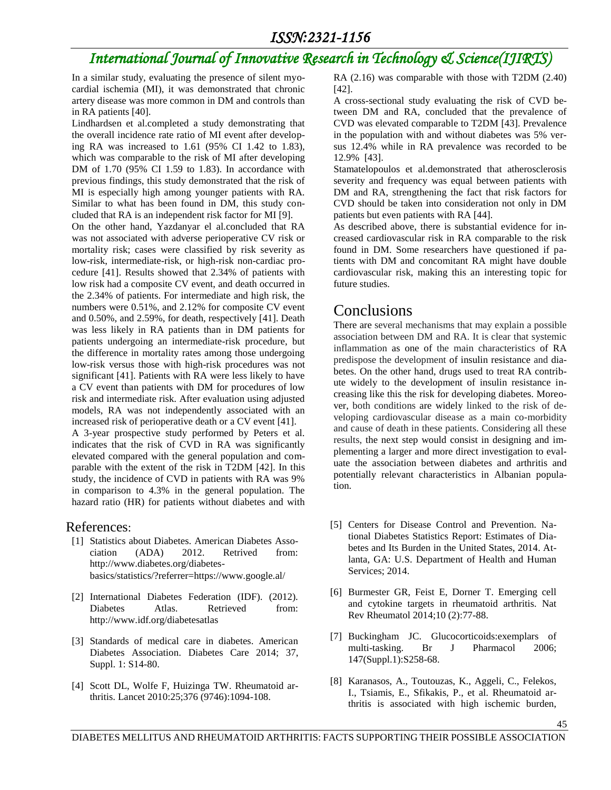## *International Journal of Innovative Research in Technology & Science(IJIRTS)*

In a similar study, evaluating the presence of silent myocardial ischemia (MI), it was demonstrated that chronic artery disease was more common in DM and controls than in RA patients [40].

Lindhardsen et al.completed a study demonstrating that the overall incidence rate ratio of MI event after developing RA was increased to 1.61 (95% CI 1.42 to 1.83), which was comparable to the risk of MI after developing DM of 1.70 (95% CI 1.59 to 1.83). In accordance with previous findings, this study demonstrated that the risk of MI is especially high among younger patients with RA. Similar to what has been found in DM, this study concluded that RA is an independent risk factor for MI [9].

On the other hand, Yazdanyar el al.concluded that RA was not associated with adverse perioperative CV risk or mortality risk; cases were classified by risk severity as low-risk, intermediate-risk, or high-risk non-cardiac procedure [41]. Results showed that 2.34% of patients with low risk had a composite CV event, and death occurred in the 2.34% of patients. For intermediate and high risk, the numbers were 0.51%, and 2.12% for composite CV event and 0.50%, and 2.59%, for death, respectively [41]. Death was less likely in RA patients than in DM patients for patients undergoing an intermediate-risk procedure, but the difference in mortality rates among those undergoing low-risk versus those with high-risk procedures was not significant [41]. Patients with RA were less likely to have a CV event than patients with DM for procedures of low risk and intermediate risk. After evaluation using adjusted models, RA was not independently associated with an increased risk of perioperative death or a CV event [41].

A 3-year prospective study performed by Peters et al. indicates that the risk of CVD in RA was significantly elevated compared with the general population and comparable with the extent of the risk in T2DM [42]. In this study, the incidence of CVD in patients with RA was 9% in comparison to 4.3% in the general population. The hazard ratio (HR) for patients without diabetes and with

#### References:

- [1] Statistics about Diabetes. American Diabetes Association (ADA) 2012. Retrived from: http://www.diabetes.org/diabetesbasics/statistics/?referrer=https://www.google.al/
- [2] International Diabetes Federation (IDF). (2012). Diabetes Atlas. Retrieved from: http://www.idf.org/diabetesatlas
- [3] Standards of medical care in diabetes. American Diabetes Association. Diabetes Care 2014; 37, Suppl. 1: S14-80.
- [4] Scott DL, Wolfe F, Huizinga TW. Rheumatoid arthritis. Lancet 2010:25;376 (9746):1094-108.

RA (2.16) was comparable with those with T2DM (2.40) [42].

A cross-sectional study evaluating the risk of CVD between DM and RA, concluded that the prevalence of CVD was elevated comparable to T2DM [43]. Prevalence in the population with and without diabetes was 5% versus 12.4% while in RA prevalence was recorded to be 12.9% [43].

Stamatelopoulos et al.demonstrated that atherosclerosis severity and frequency was equal between patients with DM and RA, strengthening the fact that risk factors for CVD should be taken into consideration not only in DM patients but even patients with RA [44].

As described above, there is substantial evidence for increased cardiovascular risk in RA comparable to the risk found in DM. Some researchers have questioned if patients with DM and concomitant RA might have double cardiovascular risk, making this an interesting topic for future studies.

#### Conclusions

There are several mechanisms that may explain a possible association between DM and RA. It is clear that systemic inflammation as one of the main characteristics of RA predispose the development of insulin resistance and diabetes. On the other hand, drugs used to treat RA contribute widely to the development of insulin resistance increasing like this the risk for developing diabetes. Moreover, both conditions are widely linked to the risk of developing cardiovascular disease as a main co-morbidity and cause of death in these patients. Considering all these results, the next step would consist in designing and implementing a larger and more direct investigation to evaluate the association between diabetes and arthritis and potentially relevant characteristics in Albanian population.

- [5] Centers for Disease Control and Prevention. National Diabetes Statistics Report: Estimates of Diabetes and Its Burden in the United States, 2014. Atlanta, GA: U.S. Department of Health and Human Services; 2014.
- [6] Burmester GR, Feist E, Dorner T. Emerging cell and cytokine targets in rheumatoid arthritis. Nat Rev Rheumatol 2014;10 (2):77-88.
- [7] Buckingham JC. Glucocorticoids:exemplars of multi-tasking. Br J Pharmacol 2006; 147(Suppl.1):S258-68.
- [8] Karanasos, A., Toutouzas, K., Aggeli, C., Felekos, I., Tsiamis, E., Sfikakis, P., et al. Rheumatoid arthritis is associated with high ischemic burden,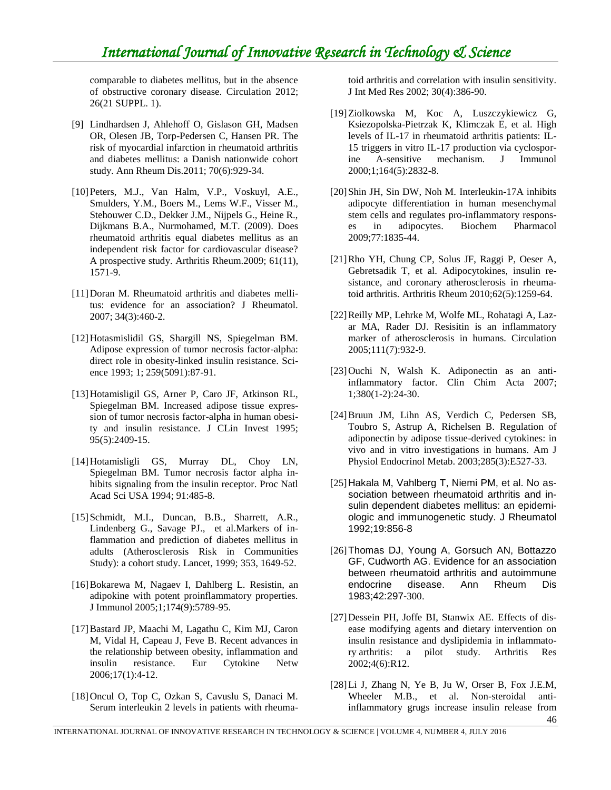comparable to diabetes mellitus, but in the absence of obstructive coronary disease. Circulation 2012; 26(21 SUPPL. 1).

- [9] Lindhardsen J, Ahlehoff O, Gislason GH, Madsen OR, Olesen JB, Torp-Pedersen C, Hansen PR. The risk of myocardial infarction in rheumatoid arthritis and diabetes mellitus: a Danish nationwide cohort study. Ann Rheum Dis.2011; 70(6):929-34.
- [10]Peters, M.J., Van Halm, V.P., Voskuyl, A.E., Smulders, Y.M., Boers M., Lems W.F., Visser M., Stehouwer C.D., Dekker J.M., Nijpels G., Heine R., Dijkmans B.A., Nurmohamed, M.T. (2009). Does rheumatoid arthritis equal diabetes mellitus as an independent risk factor for cardiovascular disease? A prospective study. Arthritis Rheum.2009; 61(11), 1571-9.
- [11]Doran M. Rheumatoid arthritis and diabetes mellitus: evidence for an association? J Rheumatol. 2007; 34(3):460-2.
- [12]Hotasmislidil GS, Shargill NS, Spiegelman BM. Adipose expression of tumor necrosis factor-alpha: direct role in obesity-linked insulin resistance. Science 1993; 1; 259(5091):87-91.
- [13]Hotamisligil GS, Arner P, Caro JF, Atkinson RL, Spiegelman BM. Increased adipose tissue expression of tumor necrosis factor-alpha in human obesity and insulin resistance. J CLin Invest 1995; 95(5):2409-15.
- [14]Hotamisligli GS, Murray DL, Choy LN, Spiegelman BM. Tumor necrosis factor alpha inhibits signaling from the insulin receptor. Proc Natl Acad Sci USA 1994; 91:485-8.
- [15]Schmidt, M.I., Duncan, B.B., Sharrett, A.R., Lindenberg G., Savage PJ., et al.Markers of inflammation and prediction of diabetes mellitus in adults (Atherosclerosis Risk in Communities Study): a cohort study. Lancet, 1999; 353, 1649-52.
- [16]Bokarewa M, Nagaev I, Dahlberg L. Resistin, an adipokine with potent proinflammatory properties. J Immunol 2005;1;174(9):5789-95.
- [17]Bastard JP, Maachi M, Lagathu C, Kim MJ, Caron M, Vidal H, Capeau J, Feve B. Recent advances in the relationship between obesity, inflammation and insulin resistance. Eur Cytokine Netw 2006;17(1):4-12.
- [18]Oncul O, Top C, Ozkan S, Cavuslu S, Danaci M. Serum interleukin 2 levels in patients with rheuma-

toid arthritis and correlation with insulin sensitivity. J Int Med Res 2002; 30(4):386-90.

- [19]Ziolkowska M, Koc A, Luszczykiewicz G, Ksiezopolska-Pietrzak K, Klimczak E, et al. High levels of IL-17 in rheumatoid arthritis patients: IL-15 triggers in vitro IL-17 production via cyclosporine A-sensitive mechanism. J Immunol 2000;1;164(5):2832-8.
- [20]Shin JH, Sin DW, Noh M. Interleukin-17A inhibits adipocyte differentiation in human mesenchymal stem cells and regulates pro-inflammatory responses in adipocytes. Biochem Pharmacol 2009;77:1835-44.
- [21]Rho YH, Chung CP, Solus JF, Raggi P, Oeser A, Gebretsadik T, et al. Adipocytokines, insulin resistance, and coronary atherosclerosis in rheumatoid arthritis. Arthritis Rheum 2010;62(5):1259-64.
- [22]Reilly MP, Lehrke M, Wolfe ML, Rohatagi A, Lazar MA, Rader DJ. Resisitin is an inflammatory marker of atherosclerosis in humans. Circulation 2005;111(7):932-9.
- [23]Ouchi N, Walsh K. Adiponectin as an antiinflammatory factor. Clin Chim Acta 2007; 1;380(1-2):24-30.
- [24]Bruun JM, Lihn AS, Verdich C, Pedersen SB, Toubro S, Astrup A, Richelsen B. Regulation of adiponectin by adipose tissue-derived cytokines: in vivo and in vitro investigations in humans. Am J Physiol Endocrinol Metab. 2003;285(3):E527-33.
- [25]Hakala M, Vahlberg T, Niemi PM, et al. No association between rheumatoid arthritis and insulin dependent diabetes mellitus: an epidemiologic and immunogenetic study. J Rheumatol 1992;19:856-8
- [26]Thomas DJ, Young A, Gorsuch AN, Bottazzo GF, Cudworth AG. Evidence for an association between rheumatoid arthritis and autoimmune endocrine disease. Ann Rheum Dis 1983;42:297-300.
- [27]Dessein PH, Joffe BI, Stanwix AE. Effects of disease modifying agents and dietary intervention on insulin resistance and dyslipidemia in inflammatory arthritis: a pilot study. Arthritis Res 2002;4(6):R12.
- [28]Li J, Zhang N, Ye B, Ju W, Orser B, Fox J.E.M, Wheeler M.B., et al. Non-steroidal antiinflammatory grugs increase insulin release from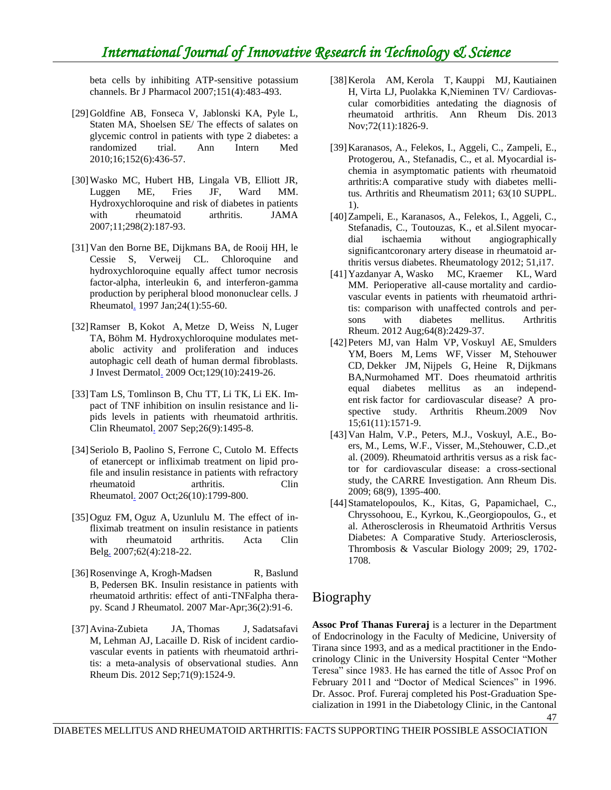beta cells by inhibiting ATP-sensitive potassium channels. Br J Pharmacol 2007;151(4):483-493.

- [29]Goldfine AB, Fonseca V, Jablonski KA, Pyle L, Staten MA, Shoelsen SE/ The effects of salates on glycemic control in patients with type 2 diabetes: a randomized trial. Ann Intern Med 2010;16;152(6):436-57.
- [30]Wasko MC, Hubert HB, Lingala VB, Elliott JR, Luggen ME, Fries JF, Ward MM. Hydroxychloroquine and risk of diabetes in patients with rheumatoid arthritis. JAMA 2007;11;298(2):187-93.
- [31]Van den Borne BE, Dijkmans BA, de Rooij HH, le Cessie S, Verweij CL. Chloroquine and hydroxychloroquine equally affect tumor necrosis factor-alpha, interleukin 6, and interferon-gamma production by peripheral blood mononuclear cells. [J](http://www.ncbi.nlm.nih.gov/pubmed/?term=Van+den+Borne+BE+J+Rheumatol+1997))  [Rheumatol.](http://www.ncbi.nlm.nih.gov/pubmed/?term=Van+den+Borne+BE+J+Rheumatol+1997)) 1997 Jan;24(1):55-60.
- [32[\]Ramser B,](http://www.ncbi.nlm.nih.gov/pubmed/?term=Ramser%20B%5BAuthor%5D&cauthor=true&cauthor_uid=19357706) [Kokot A,](http://www.ncbi.nlm.nih.gov/pubmed/?term=Kokot%20A%5BAuthor%5D&cauthor=true&cauthor_uid=19357706) [Metze D,](http://www.ncbi.nlm.nih.gov/pubmed/?term=Metze%20D%5BAuthor%5D&cauthor=true&cauthor_uid=19357706) Weiss N, Luger TA, Böhm M. Hydroxychloroquine modulates metabolic activity and proliferation and induces autophagic cell death of human dermal fibroblasts. [J Invest Dermatol.](http://www.ncbi.nlm.nih.gov/pubmed/?term=(Ramser+B%2C+Kokot+A%2C+Metze+D+J+Invest+Dermatol+2009).) 2009 Oct;129(10):2419-26.
- [33[\]Tam LS,](http://www.ncbi.nlm.nih.gov/pubmed/?term=Tam%20LS%5BAuthor%5D&cauthor=true&cauthor_uid=17237906) [Tomlinson B,](http://www.ncbi.nlm.nih.gov/pubmed/?term=Tomlinson%20B%5BAuthor%5D&cauthor=true&cauthor_uid=17237906) Chu TT, Li TK, Li EK. Impact of TNF inhibition on insulin resistance and lipids levels in patients with rheumatoid arthritis. [Clin Rheumatol.](http://www.ncbi.nlm.nih.gov/pubmed/?term=(Tam+LS%2C+Tomlinson+B%2C+Clin+Rheumatol+2007)) 2007 Sep;26(9):1495-8.
- [34] Seriolo B, [Paolino S,](http://www.ncbi.nlm.nih.gov/pubmed/?term=Paolino%20S%5BAuthor%5D&cauthor=true&cauthor_uid=17646897) [Ferrone C,](http://www.ncbi.nlm.nih.gov/pubmed/?term=Ferrone%20C%5BAuthor%5D&cauthor=true&cauthor_uid=17646897) Cutolo M. Effects of etanercept or infliximab treatment on lipid profile and insulin resistance in patients with refractory rheumatoid arthritis. [Clin](http://www.ncbi.nlm.nih.gov/pubmed/?term=(Seriolo+B%2C+Paolino+S%2C+Ferrone+C%2C+Cutolo+M.+Clin+Rheumatol%2C+2007)  [Rheumatol.](http://www.ncbi.nlm.nih.gov/pubmed/?term=(Seriolo+B%2C+Paolino+S%2C+Ferrone+C%2C+Cutolo+M.+Clin+Rheumatol%2C+2007) 2007 Oct;26(10):1799-800.
- [35[\]Oguz FM,](http://www.ncbi.nlm.nih.gov/pubmed/?term=Oguz%20FM%5BAuthor%5D&cauthor=true&cauthor_uid=17849692) [Oguz A,](http://www.ncbi.nlm.nih.gov/pubmed/?term=Oguz%20A%5BAuthor%5D&cauthor=true&cauthor_uid=17849692) Uzunlulu M. The effect of infliximab treatment on insulin resistance in patients with rheumatoid arthritis. Acta Clin [Belg.](http://www.ncbi.nlm.nih.gov/pubmed/?term=Oguz+FM%2C+Oguz+A%2C+Uzunlulu+M.+Acta+Clin+Belg%2C+2007).) 2007;62(4):218-22.
- [36] Rosenvinge A, Krogh-Madsen R, Baslund B, Pedersen BK. Insulin resistance in patients with rheumatoid arthritis: effect of anti-TNFalpha therapy. Scand J Rheumatol. 2007 Mar-Apr;36(2):91-6.
- [37]Avina-Zubieta JA, Thomas J, Sadatsafavi M, Lehman AJ, Lacaille D. Risk of incident cardiovascular events in patients with rheumatoid arthritis: a meta-analysis of observational studies. Ann Rheum Dis. 2012 Sep;71(9):1524-9.
- [38]Kerola AM, Kerola T, Kauppi MJ, Kautiainen H, Virta LJ, Puolakka K,Nieminen TV/ Cardiovascular comorbidities antedating the diagnosis of rheumatoid arthritis. Ann Rheum Dis. 2013 Nov;72(11):1826-9.
- [39]Karanasos, A., Felekos, I., Aggeli, C., Zampeli, E., Protogerou, A., Stefanadis, C., et al. Myocardial ischemia in asymptomatic patients with rheumatoid arthritis:A comparative study with diabetes mellitus. Arthritis and Rheumatism 2011; 63(10 SUPPL. 1).
- [40]Zampeli, E., Karanasos, A., Felekos, I., Aggeli, C., Stefanadis, C., Toutouzas, K., et al.Silent myocardial ischaemia without angiographically significantcoronary artery disease in rheumatoid arthritis versus diabetes. Rheumatology 2012; 51,i17.
- [41]Yazdanyar A, Wasko MC, Kraemer KL, Ward MM. Perioperative all-cause mortality and cardiovascular events in patients with rheumatoid arthritis: comparison with unaffected controls and persons with diabetes mellitus. Arthritis Rheum. 2012 Aug;64(8):2429-37.
- [42]Peters MJ, van Halm VP, Voskuyl AE, Smulders YM, Boers M, Lems WF, Visser M, Stehouwer CD, Dekker JM, Nijpels G, Heine R, Dijkmans BA,Nurmohamed MT. Does rheumatoid arthritis equal diabetes mellitus as an independent risk factor for cardiovascular disease? A prospective study. Arthritis Rheum.2009 Nov 15;61(11):1571-9.
- [43]Van Halm, V.P., Peters, M.J., Voskuyl, A.E., Boers, M., Lems, W.F., Visser, M.,Stehouwer, C.D.,et al. (2009). Rheumatoid arthritis versus as a risk factor for cardiovascular disease: a cross-sectional study, the CARRE Investigation. Ann Rheum Dis. 2009; 68(9), 1395-400.
- [44]Stamatelopoulos, K., Kitas, G, Papamichael, C., Chryssohoou, E., Kyrkou, K.,Georgiopoulos, G., et al. Atherosclerosis in Rheumatoid Arthritis Versus Diabetes: A Comparative Study. Arteriosclerosis, Thrombosis & Vascular Biology 2009; 29, 1702- 1708.

#### Biography

47 **Assoc Prof Thanas Fureraj** is a lecturer in the Department of Endocrinology in the Faculty of Medicine, University of Tirana since 1993, and as a medical practitioner in the Endocrinology Clinic in the University Hospital Center "Mother Teresa" since 1983. He has earned the title of Assoc Prof on February 2011 and "Doctor of Medical Sciences" in 1996. Dr. Assoc. Prof. Fureraj completed his Post-Graduation Specialization in 1991 in the Diabetology Clinic, in the Cantonal